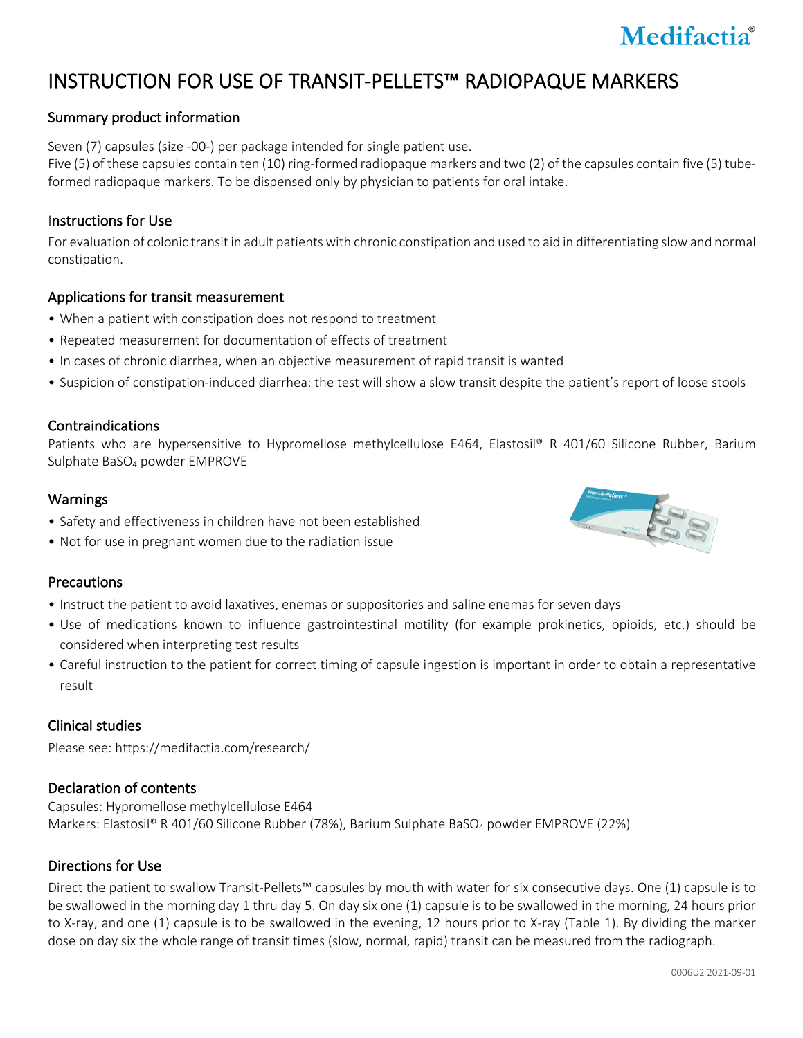# Medifactia®

## INSTRUCTION FOR USE OF TRANSIT-PELLETS™ RADIOPAQUE MARKERS

### Summary product information

Seven (7) capsules (size -00-) per package intended for single patient use.

Five (5) of these capsules contain ten (10) ring-formed radiopaque markers and two (2) of the capsules contain five (5) tubeformed radiopaque markers. To be dispensed only by physician to patients for oral intake.

#### Instructions for Use

For evaluation of colonic transit in adult patients with chronic constipation and used to aid in differentiating slow and normal constipation.

#### Applications for transit measurement

- When a patient with constipation does not respond to treatment
- Repeated measurement for documentation of effects of treatment
- In cases of chronic diarrhea, when an objective measurement of rapid transit is wanted
- Suspicion of constipation-induced diarrhea: the test will show a slow transit despite the patient's report of loose stools

#### Contraindications

Patients who are hypersensitive to Hypromellose methylcellulose E464, Elastosil® R 401/60 Silicone Rubber, Barium Sulphate BaSO4 powder EMPROVE

#### Warnings

- Safety and effectiveness in children have not been established
- Not for use in pregnant women due to the radiation issue

#### **Precautions**

- Instruct the patient to avoid laxatives, enemas or suppositories and saline enemas for seven days
- Use of medications known to influence gastrointestinal motility (for example prokinetics, opioids, etc.) should be considered when interpreting test results
- Careful instruction to the patient for correct timing of capsule ingestion is important in order to obtain a representative result

#### Clinical studies

Please see: https://medifactia.com/research/

#### Declaration of contents

Capsules: Hypromellose methylcellulose E464 Markers: Elastosil® R 401/60 Silicone Rubber (78%), Barium Sulphate BaSO<sub>4</sub> powder EMPROVE (22%)

#### Directions for Use

Direct the patient to swallow Transit-Pellets™ capsules by mouth with water for six consecutive days. One (1) capsule is to be swallowed in the morning day 1 thru day 5. On day six one (1) capsule is to be swallowed in the morning, 24 hours prior to X-ray, and one (1) capsule is to be swallowed in the evening, 12 hours prior to X-ray (Table 1). By dividing the marker dose on day six the whole range of transit times (slow, normal, rapid) transit can be measured from the radiograph.